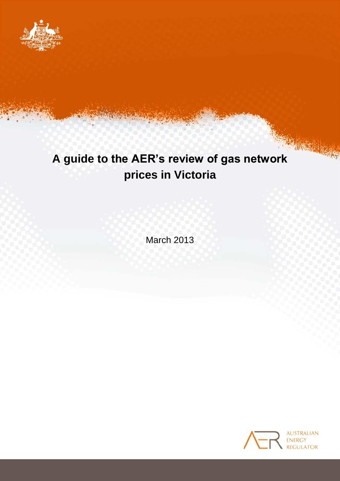

# **A guide to the AER's review of gas network prices in Victoria**

March 2013

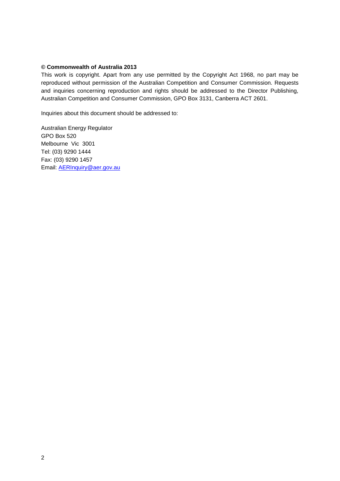#### **© Commonwealth of Australia 2013**

This work is copyright. Apart from any use permitted by the Copyright Act 1968, no part may be reproduced without permission of the Australian Competition and Consumer Commission. Requests and inquiries concerning reproduction and rights should be addressed to the Director Publishing, Australian Competition and Consumer Commission, GPO Box 3131, Canberra ACT 2601.

Inquiries about this document should be addressed to:

Australian Energy Regulator GPO Box 520 Melbourne Vic 3001 Tel: (03) 9290 1444 Fax: (03) 9290 1457 Email: [AERInquiry@aer.gov.au](mailto:AERInquiry@aer.gov.au)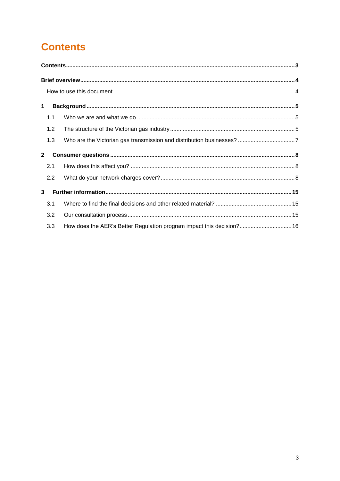## <span id="page-2-0"></span>**Contents**

| 1            |     |                                                                       |  |  |  |  |  |  |
|--------------|-----|-----------------------------------------------------------------------|--|--|--|--|--|--|
|              | 1.1 |                                                                       |  |  |  |  |  |  |
|              | 1.2 |                                                                       |  |  |  |  |  |  |
|              | 1.3 |                                                                       |  |  |  |  |  |  |
| $\mathbf{2}$ |     |                                                                       |  |  |  |  |  |  |
|              | 2.1 |                                                                       |  |  |  |  |  |  |
|              | 2.2 |                                                                       |  |  |  |  |  |  |
| 3            |     |                                                                       |  |  |  |  |  |  |
|              | 3.1 |                                                                       |  |  |  |  |  |  |
|              | 3.2 |                                                                       |  |  |  |  |  |  |
|              | 3.3 | How does the AER's Better Regulation program impact this decision? 16 |  |  |  |  |  |  |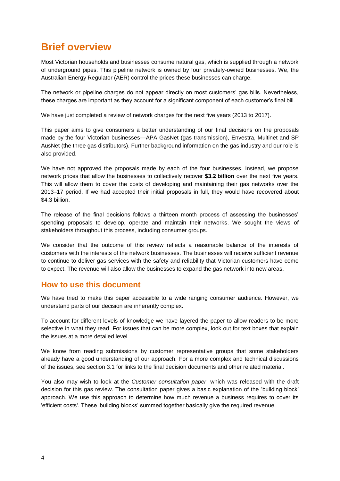## <span id="page-3-0"></span>**Brief overview**

Most Victorian households and businesses consume natural gas, which is supplied through a network of underground pipes. This pipeline network is owned by four privately-owned businesses. We, the Australian Energy Regulator (AER) control the prices these businesses can charge.

The network or pipeline charges do not appear directly on most customers' gas bills. Nevertheless, these charges are important as they account for a significant component of each customer's final bill.

We have just completed a review of network charges for the next five years (2013 to 2017).

This paper aims to give consumers a better understanding of our final decisions on the proposals made by the four Victorian businesses—APA GasNet (gas transmission), Envestra, Multinet and SP AusNet (the three gas distributors). Further background information on the gas industry and our role is also provided.

We have not approved the proposals made by each of the four businesses. Instead, we propose network prices that allow the businesses to collectively recover **\$3.2 billion** over the next five years. This will allow them to cover the costs of developing and maintaining their gas networks over the 2013–17 period. If we had accepted their initial proposals in full, they would have recovered about \$4.3 billion.

The release of the final decisions follows a thirteen month process of assessing the businesses' spending proposals to develop, operate and maintain their networks. We sought the views of stakeholders throughout this process, including consumer groups.

We consider that the outcome of this review reflects a reasonable balance of the interests of customers with the interests of the network businesses. The businesses will receive sufficient revenue to continue to deliver gas services with the safety and reliability that Victorian customers have come to expect. The revenue will also allow the businesses to expand the gas network into new areas.

### <span id="page-3-1"></span>**How to use this document**

We have tried to make this paper accessible to a wide ranging consumer audience. However, we understand parts of our decision are inherently complex.

To account for different levels of knowledge we have layered the paper to allow readers to be more selective in what they read. For issues that can be more complex, look out for text boxes that explain the issues at a more detailed level.

We know from reading submissions by customer representative groups that some stakeholders already have a good understanding of our approach. For a more complex and technical discussions of the issues, see section 3.1 for links to the final decision documents and other related material.

You also may wish to look at the *Customer consultation paper*, which was released with the draft decision for this gas review. The consultation paper gives a basic explanation of the 'building block' approach. We use this approach to determine how much revenue a business requires to cover its 'efficient costs'. These 'building blocks' summed together basically give the required revenue.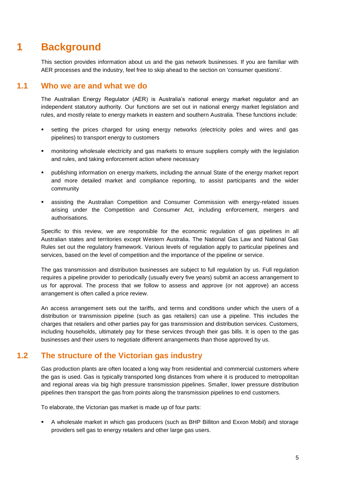## **1 Background**

<span id="page-4-0"></span>This section provides information about us and the gas network businesses. If you are familiar with AER processes and the industry, feel free to skip ahead to the section on 'consumer questions'.

### **1.1 Who we are and what we do**

<span id="page-4-1"></span>The Australian Energy Regulator (AER) is Australia's national energy market regulator and an independent statutory authority. Our functions are set out in national energy market legislation and rules, and mostly relate to energy markets in eastern and southern Australia. These functions include:

- setting the prices charged for using energy networks (electricity poles and wires and gas pipelines) to transport energy to customers
- monitoring wholesale electricity and gas markets to ensure suppliers comply with the legislation and rules, and taking enforcement action where necessary
- publishing information on energy markets, including the annual State of the energy market report and more detailed market and compliance reporting, to assist participants and the wider community
- assisting the Australian Competition and Consumer Commission with energy-related issues arising under the Competition and Consumer Act, including enforcement, mergers and authorisations.

Specific to this review, we are responsible for the economic regulation of gas pipelines in all Australian states and territories except Western Australia. The National Gas Law and National Gas Rules set out the regulatory framework. Various levels of regulation apply to particular pipelines and services, based on the level of competition and the importance of the pipeline or service.

The gas transmission and distribution businesses are subject to full regulation by us. Full regulation requires a pipeline provider to periodically (usually every five years) submit an access arrangement to us for approval. The process that we follow to assess and approve (or not approve) an access arrangement is often called a price review.

An access arrangement sets out the tariffs, and terms and conditions under which the users of a distribution or transmission pipeline (such as gas retailers) can use a pipeline. This includes the charges that retailers and other parties pay for gas transmission and distribution services. Customers, including households, ultimately pay for these services through their gas bills. It is open to the gas businesses and their users to negotiate different arrangements than those approved by us.

## **1.2 The structure of the Victorian gas industry**

<span id="page-4-2"></span>Gas production plants are often located a long way from residential and commercial customers where the gas is used. Gas is typically transported long distances from where it is produced to metropolitan and regional areas via big high pressure transmission pipelines. Smaller, lower pressure distribution pipelines then transport the gas from points along the transmission pipelines to end customers.

To elaborate, the Victorian gas market is made up of four parts:

 A wholesale market in which gas producers (such as BHP Billiton and Exxon Mobil) and storage providers sell gas to energy retailers and other large gas users.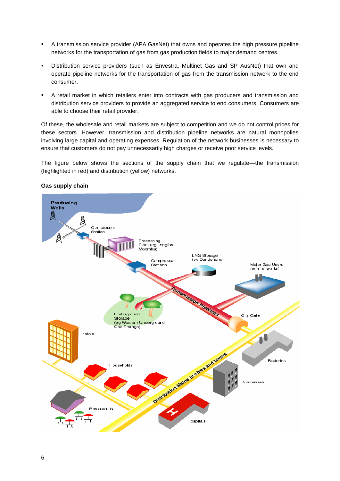- A transmission service provider (APA GasNet) that owns and operates the high pressure pipeline networks for the transportation of gas from gas production fields to major demand centres.
- Distribution service providers (such as Envestra, Multinet Gas and SP AusNet) that own and operate pipeline networks for the transportation of gas from the transmission network to the end consumer.
- A retail market in which retailers enter into contracts with gas producers and transmission and distribution service providers to provide an aggregated service to end consumers. Consumers are able to choose their retail provider.

Of these, the wholesale and retail markets are subject to competition and we do not control prices for these sectors. However, transmission and distribution pipeline networks are natural monopolies involving large capital and operating expenses. Regulation of the network businesses is necessary to ensure that customers do not pay unnecessarily high charges or receive poor service levels.

The figure below shows the sections of the supply chain that we regulate—the transmission (highlighted in red) and distribution (yellow) networks.



#### **Gas supply chain**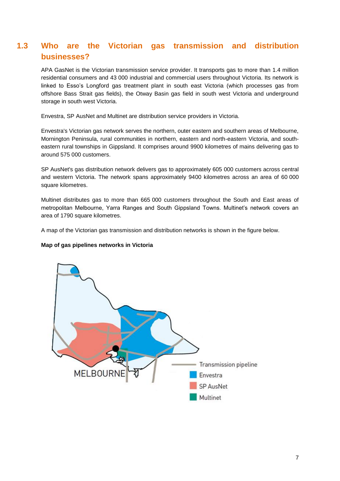## <span id="page-6-0"></span>**1.3 Who are the Victorian gas transmission and distribution businesses?**

APA GasNet is the Victorian transmission service provider. It transports gas to more than 1.4 million residential consumers and 43 000 industrial and commercial users throughout Victoria. Its network is linked to Esso's Longford gas treatment plant in south east Victoria (which processes gas from offshore Bass Strait gas fields), the Otway Basin gas field in south west Victoria and underground storage in south west Victoria.

Envestra, SP AusNet and Multinet are distribution service providers in Victoria.

Envestra's Victorian gas network serves the northern, outer eastern and southern areas of Melbourne, Mornington Peninsula, rural communities in northern, eastern and north-eastern Victoria, and southeastern rural townships in Gippsland. It comprises around 9900 kilometres of mains delivering gas to around 575 000 customers.

SP AusNet's gas distribution network delivers gas to approximately 605 000 customers across central and western Victoria. The network spans approximately 9400 kilometres across an area of 60 000 square kilometres.

Multinet distributes gas to more than 665 000 customers throughout the South and East areas of metropolitan Melbourne, Yarra Ranges and South Gippsland Towns. Multinet's network covers an area of 1790 square kilometres.

A map of the Victorian gas transmission and distribution networks is shown in the figure below.

#### **Map of gas pipelines networks in Victoria**

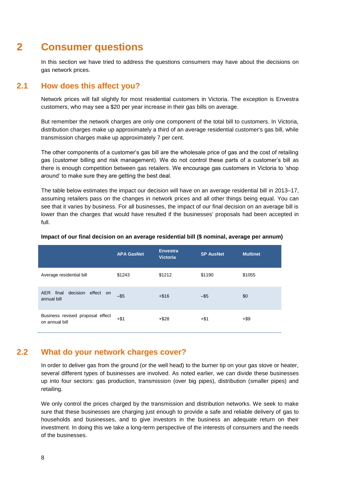## **2 Consumer questions**

<span id="page-7-0"></span>In this section we have tried to address the questions consumers may have about the decisions on gas network prices.

## **2.1 How does this affect you?**

<span id="page-7-1"></span>Network prices will fall slightly for most residential customers in Victoria. The exception is Envestra customers, who may see a \$20 per year increase in their gas bills on average.

But remember the network charges are only one component of the total bill to customers. In Victoria, distribution charges make up approximately a third of an average residential customer's gas bill, while transmission charges make up approximately 7 per cent.

The other components of a customer's gas bill are the wholesale price of gas and the cost of retailing gas (customer billing and risk management). We do not control these parts of a customer's bill as there is enough competition between gas retailers. We encourage gas customers in Victoria to 'shop around' to make sure they are getting the best deal.

The table below estimates the impact our decision will have on an average residential bill in 2013–17, assuming retailers pass on the changes in network prices and all other things being equal. You can see that it varies by business. For all businesses, the impact of our final decision on an average bill is lower than the charges that would have resulted if the businesses' proposals had been accepted in full.

|                                                    | <b>APA GasNet</b> | <b>Envestra</b><br><b>Victoria</b> | <b>SP AusNet</b> | <b>Multinet</b> |
|----------------------------------------------------|-------------------|------------------------------------|------------------|-----------------|
| Average residential bill                           | \$1243            | \$1212                             | \$1190           | \$1055          |
| decision effect on<br>AER final<br>annual bill     | $-$ \$5           | $+ $16$                            | $-$ \$5          | \$0             |
| Business revised proposal effect<br>on annual bill | $+ $1$            | $+ $28$                            | +\$1             | $+$ \$9         |

#### **Impact of our final decision on an average residential bill (\$ nominal, average per annum)**

### **2.2 What do your network charges cover?**

<span id="page-7-2"></span>In order to deliver gas from the ground (or the well head) to the burner tip on your gas stove or heater, several different types of businesses are involved. As noted earlier, we can divide these businesses up into four sectors: gas production, transmission (over big pipes), distribution (smaller pipes) and retailing.

We only control the prices charged by the transmission and distribution networks. We seek to make sure that these businesses are charging just enough to provide a safe and reliable delivery of gas to households and businesses, and to give investors in the business an adequate return on their investment. In doing this we take a long-term perspective of the interests of consumers and the needs of the businesses.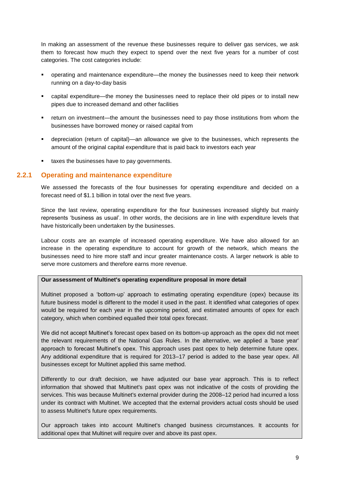In making an assessment of the revenue these businesses require to deliver gas services, we ask them to forecast how much they expect to spend over the next five years for a number of cost categories. The cost categories include:

- operating and maintenance expenditure—the money the businesses need to keep their network running on a day-to-day basis
- capital expenditure—the money the businesses need to replace their old pipes or to install new pipes due to increased demand and other facilities
- return on investment—the amount the businesses need to pay those institutions from whom the businesses have borrowed money or raised capital from
- depreciation (return of capital)—an allowance we give to the businesses, which represents the amount of the original capital expenditure that is paid back to investors each year
- **taxes the businesses have to pay governments.**

#### **2.2.1 Operating and maintenance expenditure**

We assessed the forecasts of the four businesses for operating expenditure and decided on a forecast need of \$1.1 billion in total over the next five years.

Since the last review, operating expenditure for the four businesses increased slightly but mainly represents 'business as usual'. In other words, the decisions are in line with expenditure levels that have historically been undertaken by the businesses.

Labour costs are an example of increased operating expenditure. We have also allowed for an increase in the operating expenditure to account for growth of the network, which means the businesses need to hire more staff and incur greater maintenance costs. A larger network is able to serve more customers and therefore earns more revenue.

#### **Our assessment of Multinet's operating expenditure proposal in more detail**

Multinet proposed a 'bottom-up' approach to estimating operating expenditure (opex) because its future business model is different to the model it used in the past. It identified what categories of opex would be required for each year in the upcoming period, and estimated amounts of opex for each category, which when combined equalled their total opex forecast.

We did not accept Multinet's forecast opex based on its bottom-up approach as the opex did not meet the relevant requirements of the National Gas Rules. In the alternative, we applied a 'base year' approach to forecast Multinet's opex. This approach uses past opex to help determine future opex. Any additional expenditure that is required for 2013–17 period is added to the base year opex. All businesses except for Multinet applied this same method.

Differently to our draft decision, we have adjusted our base year approach. This is to reflect information that showed that Multinet's past opex was not indicative of the costs of providing the services. This was because Multinet's external provider during the 2008–12 period had incurred a loss under its contract with Multinet. We accepted that the external providers actual costs should be used to assess Multinet's future opex requirements.

Our approach takes into account Multinet's changed business circumstances. It accounts for additional opex that Multinet will require over and above its past opex.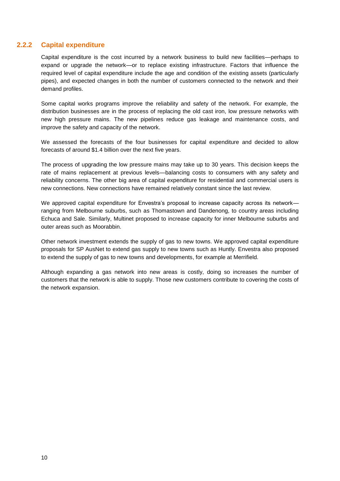### **2.2.2 Capital expenditure**

Capital expenditure is the cost incurred by a network business to build new facilities—perhaps to expand or upgrade the network—or to replace existing infrastructure. Factors that influence the required level of capital expenditure include the age and condition of the existing assets (particularly pipes), and expected changes in both the number of customers connected to the network and their demand profiles.

Some capital works programs improve the reliability and safety of the network. For example, the distribution businesses are in the process of replacing the old cast iron, low pressure networks with new high pressure mains. The new pipelines reduce gas leakage and maintenance costs, and improve the safety and capacity of the network.

We assessed the forecasts of the four businesses for capital expenditure and decided to allow forecasts of around \$1.4 billion over the next five years.

The process of upgrading the low pressure mains may take up to 30 years. This decision keeps the rate of mains replacement at previous levels—balancing costs to consumers with any safety and reliability concerns. The other big area of capital expenditure for residential and commercial users is new connections. New connections have remained relatively constant since the last review.

We approved capital expenditure for Envestra's proposal to increase capacity across its network ranging from Melbourne suburbs, such as Thomastown and Dandenong, to country areas including Echuca and Sale. Similarly, Multinet proposed to increase capacity for inner Melbourne suburbs and outer areas such as Moorabbin.

Other network investment extends the supply of gas to new towns. We approved capital expenditure proposals for SP AusNet to extend gas supply to new towns such as Huntly. Envestra also proposed to extend the supply of gas to new towns and developments, for example at Merrifield.

Although expanding a gas network into new areas is costly, doing so increases the number of customers that the network is able to supply. Those new customers contribute to covering the costs of the network expansion.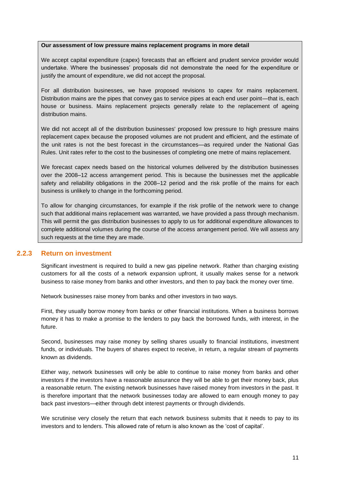#### **Our assessment of low pressure mains replacement programs in more detail**

We accept capital expenditure (capex) forecasts that an efficient and prudent service provider would undertake. Where the businesses' proposals did not demonstrate the need for the expenditure or justify the amount of expenditure, we did not accept the proposal.

For all distribution businesses, we have proposed revisions to capex for mains replacement. Distribution mains are the pipes that convey gas to service pipes at each end user point—that is, each house or business. Mains replacement projects generally relate to the replacement of ageing distribution mains.

We did not accept all of the distribution businesses' proposed low pressure to high pressure mains replacement capex because the proposed volumes are not prudent and efficient, and the estimate of the unit rates is not the best forecast in the circumstances—as required under the National Gas Rules. Unit rates refer to the cost to the businesses of completing one metre of mains replacement.

We forecast capex needs based on the historical volumes delivered by the distribution businesses over the 2008–12 access arrangement period. This is because the businesses met the applicable safety and reliability obligations in the 2008–12 period and the risk profile of the mains for each business is unlikely to change in the forthcoming period.

To allow for changing circumstances, for example if the risk profile of the network were to change such that additional mains replacement was warranted, we have provided a pass through mechanism. This will permit the gas distribution businesses to apply to us for additional expenditure allowances to complete additional volumes during the course of the access arrangement period. We will assess any such requests at the time they are made.

#### **2.2.3 Return on investment**

Significant investment is required to build a new gas pipeline network. Rather than charging existing customers for all the costs of a network expansion upfront, it usually makes sense for a network business to raise money from banks and other investors, and then to pay back the money over time.

Network businesses raise money from banks and other investors in two ways.

First, they usually borrow money from banks or other financial institutions. When a business borrows money it has to make a promise to the lenders to pay back the borrowed funds, with interest, in the future.

Second, businesses may raise money by selling shares usually to financial institutions, investment funds, or individuals. The buyers of shares expect to receive, in return, a regular stream of payments known as dividends.

Either way, network businesses will only be able to continue to raise money from banks and other investors if the investors have a reasonable assurance they will be able to get their money back, plus a reasonable return. The existing network businesses have raised money from investors in the past. It is therefore important that the network businesses today are allowed to earn enough money to pay back past investors—either through debt interest payments or through dividends.

We scrutinise very closely the return that each network business submits that it needs to pay to its investors and to lenders. This allowed rate of return is also known as the 'cost of capital'.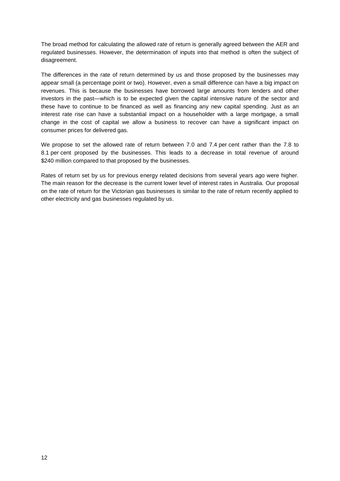The broad method for calculating the allowed rate of return is generally agreed between the AER and regulated businesses. However, the determination of inputs into that method is often the subject of disagreement.

The differences in the rate of return determined by us and those proposed by the businesses may appear small (a percentage point or two). However, even a small difference can have a big impact on revenues. This is because the businesses have borrowed large amounts from lenders and other investors in the past—which is to be expected given the capital intensive nature of the sector and these have to continue to be financed as well as financing any new capital spending. Just as an interest rate rise can have a substantial impact on a householder with a large mortgage, a small change in the cost of capital we allow a business to recover can have a significant impact on consumer prices for delivered gas.

We propose to set the allowed rate of return between 7.0 and 7.4 per cent rather than the 7.8 to 8.1 per cent proposed by the businesses. This leads to a decrease in total revenue of around \$240 million compared to that proposed by the businesses.

Rates of return set by us for previous energy related decisions from several years ago were higher. The main reason for the decrease is the current lower level of interest rates in Australia. Our proposal on the rate of return for the Victorian gas businesses is similar to the rate of return recently applied to other electricity and gas businesses regulated by us.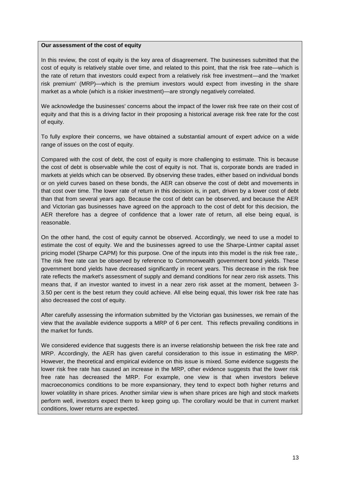#### **Our assessment of the cost of equity**

In this review, the cost of equity is the key area of disagreement. The businesses submitted that the cost of equity is relatively stable over time, and related to this point, that the risk free rate—which is the rate of return that investors could expect from a relatively risk free investment—and the 'market risk premium' (MRP)—which is the premium investors would expect from investing in the share market as a whole (which is a riskier investment)—are strongly negatively correlated.

We acknowledge the businesses' concerns about the impact of the lower risk free rate on their cost of equity and that this is a driving factor in their proposing a historical average risk free rate for the cost of equity.

To fully explore their concerns, we have obtained a substantial amount of expert advice on a wide range of issues on the cost of equity.

Compared with the cost of debt, the cost of equity is more challenging to estimate. This is because the cost of debt is observable while the cost of equity is not. That is, corporate bonds are traded in markets at yields which can be observed. By observing these trades, either based on individual bonds or on yield curves based on these bonds, the AER can observe the cost of debt and movements in that cost over time. The lower rate of return in this decision is, in part, driven by a lower cost of debt than that from several years ago. Because the cost of debt can be observed, and because the AER and Victorian gas businesses have agreed on the approach to the cost of debt for this decision, the AER therefore has a degree of confidence that a lower rate of return, all else being equal, is reasonable.

On the other hand, the cost of equity cannot be observed. Accordingly, we need to use a model to estimate the cost of equity. We and the businesses agreed to use the Sharpe-Lintner capital asset pricing model (Sharpe CAPM) for this purpose. One of the inputs into this model is the risk free rate,. The risk free rate can be observed by reference to Commonwealth government bond yields. These government bond yields have decreased significantly in recent years. This decrease in the risk free rate reflects the market's assessment of supply and demand conditions for near zero risk assets. This means that, if an investor wanted to invest in a near zero risk asset at the moment, between 3- 3.50 per cent is the best return they could achieve. All else being equal, this lower risk free rate has also decreased the cost of equity.

After carefully assessing the information submitted by the Victorian gas businesses, we remain of the view that the available evidence supports a MRP of 6 per cent. This reflects prevailing conditions in the market for funds.

We considered evidence that suggests there is an inverse relationship between the risk free rate and MRP. Accordingly, the AER has given careful consideration to this issue in estimating the MRP. However, the theoretical and empirical evidence on this issue is mixed. Some evidence suggests the lower risk free rate has caused an increase in the MRP, other evidence suggests that the lower risk free rate has decreased the MRP. For example, one view is that when investors believe macroeconomics conditions to be more expansionary, they tend to expect both higher returns and lower volatility in share prices. Another similar view is when share prices are high and stock markets perform well, investors expect them to keep going up. The corollary would be that in current market conditions, lower returns are expected.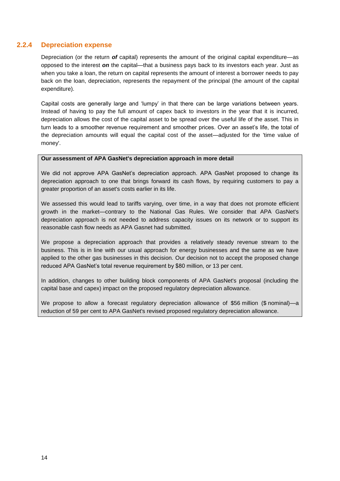### **2.2.4 Depreciation expense**

Depreciation (or the return *of* capital) represents the amount of the original capital expenditure—as opposed to the interest *on* the capital—that a business pays back to its investors each year. Just as when you take a loan, the return on capital represents the amount of interest a borrower needs to pay back on the loan, depreciation, represents the repayment of the principal (the amount of the capital expenditure).

Capital costs are generally large and 'lumpy' in that there can be large variations between years. Instead of having to pay the full amount of capex back to investors in the year that it is incurred, depreciation allows the cost of the capital asset to be spread over the useful life of the asset. This in turn leads to a smoother revenue requirement and smoother prices. Over an asset's life, the total of the depreciation amounts will equal the capital cost of the asset—adjusted for the 'time value of money'.

#### **Our assessment of APA GasNet's depreciation approach in more detail**

We did not approve APA GasNet's depreciation approach. APA GasNet proposed to change its depreciation approach to one that brings forward its cash flows, by requiring customers to pay a greater proportion of an asset's costs earlier in its life.

We assessed this would lead to tariffs varying, over time, in a way that does not promote efficient growth in the market—contrary to the National Gas Rules. We consider that APA GasNet's depreciation approach is not needed to address capacity issues on its network or to support its reasonable cash flow needs as APA Gasnet had submitted.

We propose a depreciation approach that provides a relatively steady revenue stream to the business. This is in line with our usual approach for energy businesses and the same as we have applied to the other gas businesses in this decision. Our decision not to accept the proposed change reduced APA GasNet's total revenue requirement by \$80 million, or 13 per cent.

In addition, changes to other building block components of APA GasNet's proposal (including the capital base and capex) impact on the proposed regulatory depreciation allowance.

We propose to allow a forecast regulatory depreciation allowance of \$56 million (\$ nominal)—a reduction of 59 per cent to APA GasNet's revised proposed regulatory depreciation allowance.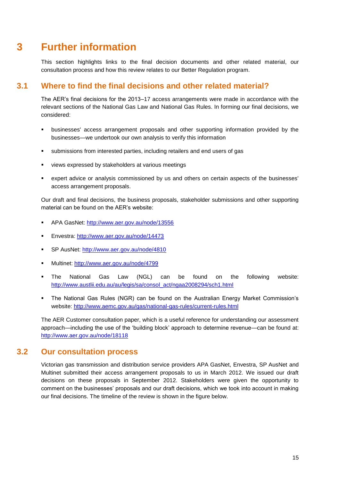## **3 Further information**

<span id="page-14-0"></span>This section highlights links to the final decision documents and other related material, our consultation process and how this review relates to our Better Regulation program.

## **3.1 Where to find the final decisions and other related material?**

<span id="page-14-1"></span>The AER's final decisions for the 2013–17 access arrangements were made in accordance with the relevant sections of the National Gas Law and National Gas Rules. In forming our final decisions, we considered:

- businesses' access arrangement proposals and other supporting information provided by the businesses—we undertook our own analysis to verify this information
- submissions from interested parties, including retailers and end users of gas
- views expressed by stakeholders at various meetings
- expert advice or analysis commissioned by us and others on certain aspects of the businesses' access arrangement proposals.

Our draft and final decisions, the business proposals, stakeholder submissions and other supporting material can be found on the AER's website:

- APA GasNet:<http://www.aer.gov.au/node/13556>
- Envestra:<http://www.aer.gov.au/node/14473>
- SP AusNet:<http://www.aer.gov.au/node/4810>
- Multinet:<http://www.aer.gov.au/node/4799>
- The National Gas Law (NGL) can be found on the following website: [http://www.austlii.edu.au/au/legis/sa/consol\\_act/ngaa2008294/sch1.html](http://www.austlii.edu.au/au/legis/sa/consol_act/ngaa2008294/sch1.html)
- The National Gas Rules (NGR) can be found on the Australian Energy Market Commission's website:<http://www.aemc.gov.au/gas/national-gas-rules/current-rules.html>

The AER Customer consultation paper, which is a useful reference for understanding our assessment approach—including the use of the 'building block' approach to determine revenue—can be found at: <http://www.aer.gov.au/node/18118>

### **3.2 Our consultation process**

<span id="page-14-2"></span>Victorian gas transmission and distribution service providers APA GasNet, Envestra, SP AusNet and Multinet submitted their access arrangement proposals to us in March 2012. We issued our draft decisions on these proposals in September 2012. Stakeholders were given the opportunity to comment on the businesses' proposals and our draft decisions, which we took into account in making our final decisions. The timeline of the review is shown in the figure below.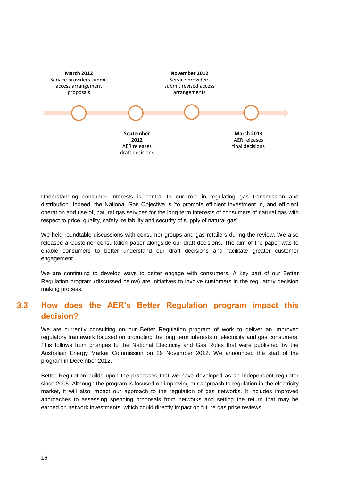

Understanding consumer interests is central to our role in regulating gas transmission and distribution. Indeed, the National Gas Objective is 'to promote efficient investment in, and efficient operation and use of, natural gas services for the long term interests of consumers of natural gas with respect to price, quality, safety, reliability and security of supply of natural gas'.

We held roundtable discussions with consumer groups and gas retailers during the review. We also released a Customer consultation paper alongside our draft decisions. The aim of the paper was to enable consumers to better understand our draft decisions and facilitate greater customer engagement.

We are continuing to develop ways to better engage with consumers. A key part of our Better Regulation program (discussed below) are initiatives to involve customers in the regulatory decision making process.

## <span id="page-15-0"></span>**3.3 How does the AER's Better Regulation program impact this decision?**

We are currently consulting on our Better Regulation program of work to deliver an improved regulatory framework focused on promoting the long term interests of electricity and gas consumers. This follows from changes to the National Electricity and Gas Rules that were published by the Australian Energy Market Commission on 29 November 2012. We announced the start of the program in December 2012.

Better Regulation builds upon the processes that we have developed as an independent regulator since 2005. Although the program is focused on improving our approach to regulation in the electricity market, it will also impact our approach to the regulation of gas networks. It includes improved approaches to assessing spending proposals from networks and setting the return that may be earned on network investments, which could directly impact on future gas price reviews.